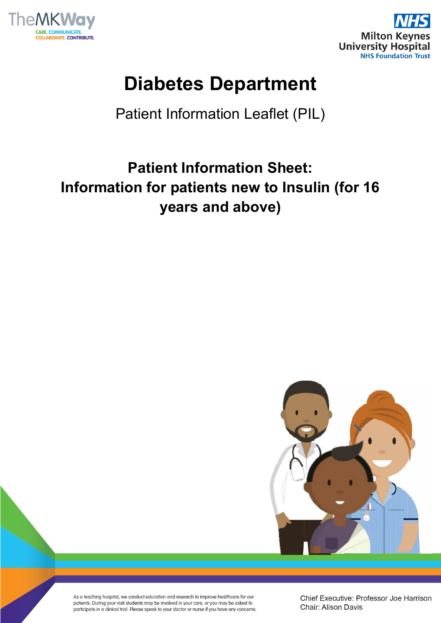



# **Diabetes Department**

Patient Information Leaflet (PIL)

## **Patient Information Sheet: Information for patients new to Insulin (for 16 years and above)**



As a teaching hospital, we conduct education and research to improve healthcare for our patients. During your visit students may be involved in your care, or you may be asked to participate in a clinical trial. Please speak to your doctor or nurse if you have any concerns. Chief Executive: Professor Joe Harrison Chair: Alison Davis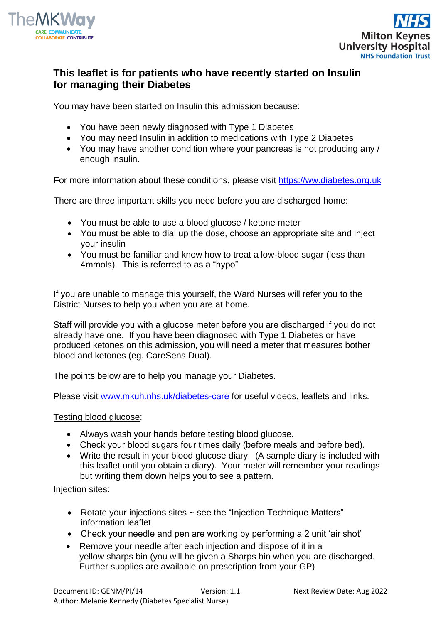



## **This leaflet is for patients who have recently started on Insulin for managing their Diabetes**

You may have been started on Insulin this admission because:

- You have been newly diagnosed with Type 1 Diabetes
- You may need Insulin in addition to medications with Type 2 Diabetes
- You may have another condition where your pancreas is not producing any / enough insulin.

For more information about these conditions, please visit https://ww.diabetes.org.uk

There are three important skills you need before you are discharged home:

- You must be able to use a blood glucose / ketone meter
- You must be able to dial up the dose, choose an appropriate site and inject your insulin
- You must be familiar and know how to treat a low-blood sugar (less than 4mmols). This is referred to as a "hypo"

If you are unable to manage this yourself, the Ward Nurses will refer you to the District Nurses to help you when you are at home.

Staff will provide you with a glucose meter before you are discharged if you do not already have one. If you have been diagnosed with Type 1 Diabetes or have produced ketones on this admission, you will need a meter that measures bother blood and ketones (eg. CareSens Dual).

The points below are to help you manage your Diabetes.

Please visit [www.mkuh.nhs.uk/diabetes-](http://www.mkuh.nhs.uk/diabetes-education)care for useful videos, leaflets and links.

#### Testing blood glucose:

- Always wash your hands before testing blood glucose.
- Check your blood sugars four times daily (before meals and before bed).
- Write the result in your blood glucose diary. (A sample diary is included with this leaflet until you obtain a diary). Your meter will remember your readings but writing them down helps you to see a pattern.

#### Injection sites:

- Rotate your injections sites ~ see the "Injection Technique Matters" information leaflet
- Check your needle and pen are working by performing a 2 unit 'air shot'
- Remove your needle after each injection and dispose of it in a yellow sharps bin (you will be given a Sharps bin when you are discharged. Further supplies are available on prescription from your GP)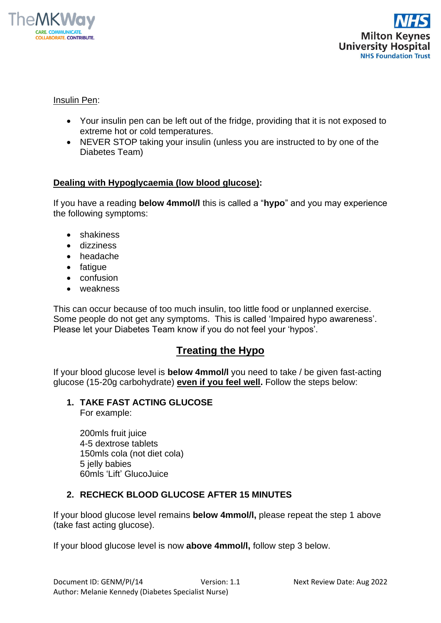



#### Insulin Pen:

- Your insulin pen can be left out of the fridge, providing that it is not exposed to extreme hot or cold temperatures.
- NEVER STOP taking your insulin (unless you are instructed to by one of the Diabetes Team)

#### **Dealing with Hypoglycaemia (low blood glucose):**

If you have a reading **below 4mmol/l** this is called a "**hypo**" and you may experience the following symptoms:

- shakiness
- dizziness
- headache
- fatigue
- confusion
- weakness

This can occur because of too much insulin, too little food or unplanned exercise. Some people do not get any symptoms. This is called 'Impaired hypo awareness'. Please let your Diabetes Team know if you do not feel your 'hypos'.

## **Treating the Hypo**

If your blood glucose level is **below 4mmol/l** you need to take / be given fast-acting glucose (15-20g carbohydrate) **even if you feel well.** Follow the steps below:

## **1. TAKE FAST ACTING GLUCOSE**

For example:

200mls fruit juice 4-5 dextrose tablets 150mls cola (not diet cola) 5 jelly babies 60mls 'Lift' GlucoJuice

#### **2. RECHECK BLOOD GLUCOSE AFTER 15 MINUTES**

If your blood glucose level remains **below 4mmol/l,** please repeat the step 1 above (take fast acting glucose).

If your blood glucose level is now **above 4mmol/l,** follow step 3 below.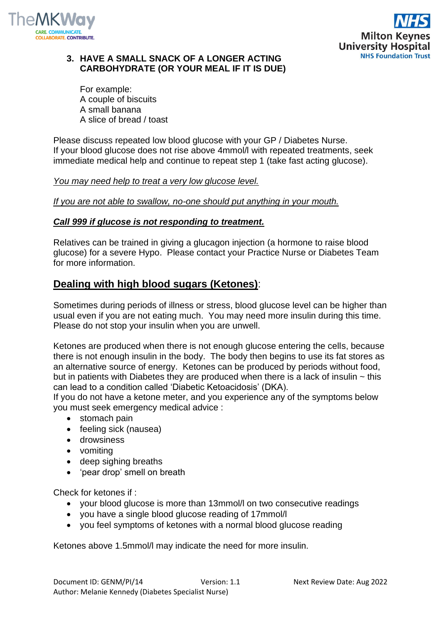



#### **3. HAVE A SMALL SNACK OF A LONGER ACTING CARBOHYDRATE (OR YOUR MEAL IF IT IS DUE)**

For example: A couple of biscuits A small banana A slice of bread / toast

Please discuss repeated low blood glucose with your GP / Diabetes Nurse. If your blood glucose does not rise above 4mmol/l with repeated treatments, seek immediate medical help and continue to repeat step 1 (take fast acting glucose).

#### *You may need help to treat a very low glucose level.*

*If you are not able to swallow, no-one should put anything in your mouth.*

#### *Call 999 if glucose is not responding to treatment.*

Relatives can be trained in giving a glucagon injection (a hormone to raise blood glucose) for a severe Hypo. Please contact your Practice Nurse or Diabetes Team for more information.

#### **Dealing with high blood sugars (Ketones)**:

Sometimes during periods of illness or stress, blood glucose level can be higher than usual even if you are not eating much. You may need more insulin during this time. Please do not stop your insulin when you are unwell.

Ketones are produced when there is not enough glucose entering the cells, because there is not enough insulin in the body. The body then begins to use its fat stores as an alternative source of energy. Ketones can be produced by periods without food, but in patients with Diabetes they are produced when there is a lack of insulin  $\sim$  this can lead to a condition called 'Diabetic Ketoacidosis' (DKA).

If you do not have a ketone meter, and you experience any of the symptoms below you must seek emergency medical advice :

- stomach pain
- feeling sick (nausea)
- drowsiness
- vomiting
- deep sighing breaths
- 'pear drop' smell on breath

Check for ketones if :

- your blood glucose is more than 13mmol/l on two consecutive readings
- you have a single blood glucose reading of 17mmol/l
- you feel symptoms of ketones with a normal blood glucose reading

Ketones above 1.5mmol/l may indicate the need for more insulin.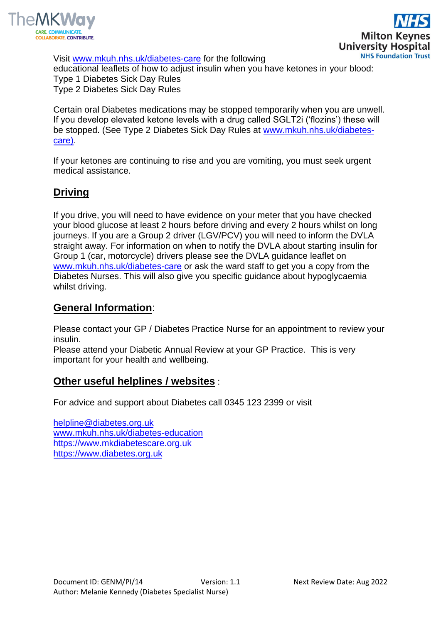

Visit [www.mkuh.nhs.uk/diabetes-](http://www.mkuh.nhs.uk/diabetes-education)care for the following educational leaflets of how to adjust insulin when you have ketones in your blood: Type 1 Diabetes Sick Day Rules Type 2 Diabetes Sick Day Rules

Certain oral Diabetes medications may be stopped temporarily when you are unwell. If you develop elevated ketone levels with a drug called SGLT2i ('flozins') these will be stopped. (See Type 2 Diabetes Sick Day Rules at [www.mkuh.nhs.uk/diabetes](http://www.mkuh.nhs.uk/diabetes-education))[care](http://www.mkuh.nhs.uk/diabetes-education))).

If your ketones are continuing to rise and you are vomiting, you must seek urgent medical assistance.

## **Driving**

If you drive, you will need to have evidence on your meter that you have checked your blood glucose at least 2 hours before driving and every 2 hours whilst on long journeys. If you are a Group 2 driver (LGV/PCV) you will need to inform the DVLA straight away. For information on when to notify the DVLA about starting insulin for Group 1 (car, motorcycle) drivers please see the DVLA guidance leaflet on [www.mkuh.nhs.uk/diabetes-](http://www.mkuh.nhs.uk/diabetes-education)care or ask the ward staff to get you a copy from the Diabetes Nurses. This will also give you specific guidance about hypoglycaemia whilst driving.

## **General Information**:

Please contact your GP / Diabetes Practice Nurse for an appointment to review your insulin.

Please attend your Diabetic Annual Review at your GP Practice. This is very important for your health and wellbeing.

#### **Other useful helplines / websites** :

For advice and support about Diabetes call 0345 123 2399 or visit

[helpline@diabetes.org.uk](mailto:helpline@diabetes.org.uk) [www.mkuh.nhs.uk/diabetes-education](http://www.mkuh.nhs.uk/diabetes-education) [https://www.mkdiabetescare.org.uk](https://www.mkdiabetescare.org.uk/) [https://www.diabetes.org.uk](https://www.diabetes.org.uk/)